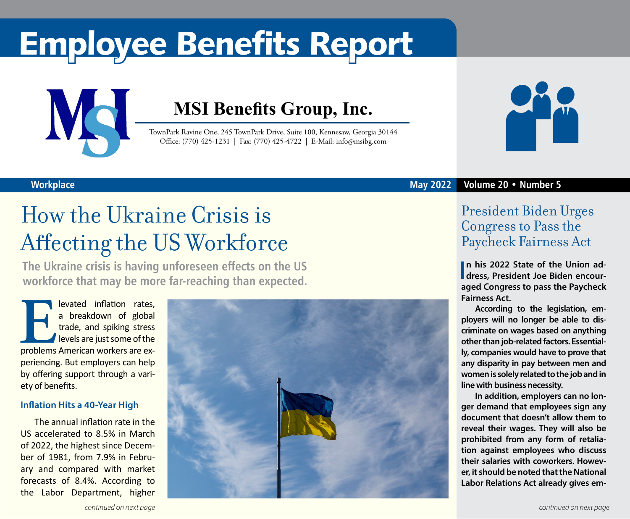# Employee Benefits Report



### **MSI Benefits Group, Inc.**

TownPark Ravine One, 245 TownPark Drive, Suite 100, Kennesaw, Georgia 30144 Office: (770) 425-1231 | Fax: (770) 425-4722 | E-Mail: info@msibg.com



## How the Ukraine Crisis is Affecting the US Workforce

**The Ukraine crisis is having unforeseen effects on the US workforce that may be more far-reaching than expected.** 

**Elevated inflation rates,**<br> **Elevated inflation of global**<br> **Elevels are just some of the<br>
problems American workers are ex**a breakdown of global trade, and spiking stress levels are just some of the periencing. But employers can help by offering support through a variety of benefits.

#### **Inflation Hits a 40-Year High**

The annual inflation rate in the US accelerated to 8.5% in March of 2022, the highest since December of 1981, from 7.9% in February and compared with market forecasts of 8.4%. According to the Labor Department, higher





#### **May 2022 Volume 20 • Number 5**

### President Biden Urges Congress to Pass the Paycheck Fairness Act

**In his 2022 State of the Union address, President Joe Biden encourn his 2022 State of the Union adaged Congress to pass the Paycheck Fairness Act.**

**According to the legislation, employers will no longer be able to discriminate on wages based on anything other than job-related factors. Essentially, companies would have to prove that any disparity in pay between men and women is solely related to the job and in line with business necessity.**

**In addition, employers can no longer demand that employees sign any document that doesn't allow them to reveal their wages. They will also be prohibited from any form of retaliation against employees who discuss their salaries with coworkers. However, it should be noted that the National Labor Relations Act already gives em-**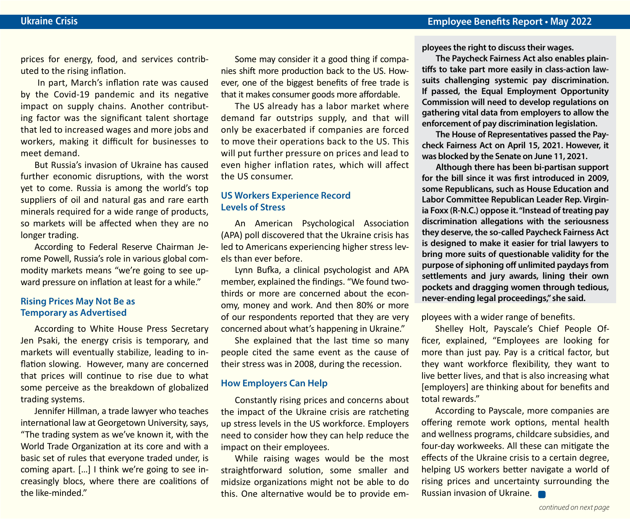prices for energy, food, and services contributed to the rising inflation.

 In part, March's inflation rate was caused by the Covid-19 pandemic and its negative impact on supply chains. Another contributing factor was the significant talent shortage that led to increased wages and more jobs and workers, making it difficult for businesses to meet demand.

But Russia's invasion of Ukraine has caused further economic disruptions, with the worst yet to come. Russia is among the world's top suppliers of oil and natural gas and rare earth minerals required for a wide range of products, so markets will be affected when they are no longer trading.

According to Federal Reserve Chairman Jerome Powell, Russia's role in various global commodity markets means "we're going to see upward pressure on inflation at least for a while."

#### **Rising Prices May Not Be as Temporary as Advertised**

According to White House Press Secretary Jen Psaki, the energy crisis is temporary, and markets will eventually stabilize, leading to inflation slowing. However, many are concerned that prices will continue to rise due to what some perceive as the breakdown of globalized trading systems.

Jennifer Hillman, a trade lawyer who teaches international law at Georgetown University, says, "The trading system as we've known it, with the World Trade Organization at its core and with a basic set of rules that everyone traded under, is coming apart. […] I think we're going to see increasingly blocs, where there are coalitions of the like-minded."

Some may consider it a good thing if companies shift more production back to the US. However, one of the biggest benefits of free trade is that it makes consumer goods more affordable.

The US already has a labor market where demand far outstrips supply, and that will only be exacerbated if companies are forced to move their operations back to the US. This will put further pressure on prices and lead to even higher inflation rates, which will affect the US consumer.

#### **US Workers Experience Record Levels of Stress**

An American Psychological Association (APA) poll discovered that the Ukraine crisis has led to Americans experiencing higher stress levels than ever before.

Lynn Bufka, a clinical psychologist and APA member, explained the findings. "We found twothirds or more are concerned about the economy, money and work. And then 80% or more of our respondents reported that they are very concerned about what's happening in Ukraine."

She explained that the last time so many people cited the same event as the cause of their stress was in 2008, during the recession.

#### **How Employers Can Help**

Constantly rising prices and concerns about the impact of the Ukraine crisis are ratcheting up stress levels in the US workforce. Employers need to consider how they can help reduce the impact on their employees.

While raising wages would be the most straightforward solution, some smaller and midsize organizations might not be able to do this. One alternative would be to provide em**ployees the right to discuss their wages.**

**The Paycheck Fairness Act also enables plaintiffs to take part more easily in class-action lawsuits challenging systemic pay discrimination. If passed, the Equal Employment Opportunity Commission will need to develop regulations on gathering vital data from employers to allow the enforcement of pay discrimination legislation.**

**The House of Representatives passed the Paycheck Fairness Act on April 15, 2021. However, it was blocked by the Senate on June 11, 2021.** 

**Although there has been bi-partisan support for the bill since it was first introduced in 2009, some Republicans, such as House Education and Labor Committee Republican Leader Rep. Virginia Foxx (R-N.C.) oppose it. "Instead of treating pay discrimination allegations with the seriousness they deserve, the so-called Paycheck Fairness Act is designed to make it easier for trial lawyers to bring more suits of questionable validity for the purpose of siphoning off unlimited paydays from settlements and jury awards, lining their own pockets and dragging women through tedious, never-ending legal proceedings," she said.**

ployees with a wider range of benefits.

Shelley Holt, Payscale's Chief People Officer, explained, "Employees are looking for more than just pay. Pay is a critical factor, but they want workforce flexibility, they want to live better lives, and that is also increasing what [employers] are thinking about for benefits and total rewards."

According to Payscale, more companies are offering remote work options, mental health and wellness programs, childcare subsidies, and four-day workweeks. All these can mitigate the effects of the Ukraine crisis to a certain degree, helping US workers better navigate a world of rising prices and uncertainty surrounding the Russian invasion of Ukraine.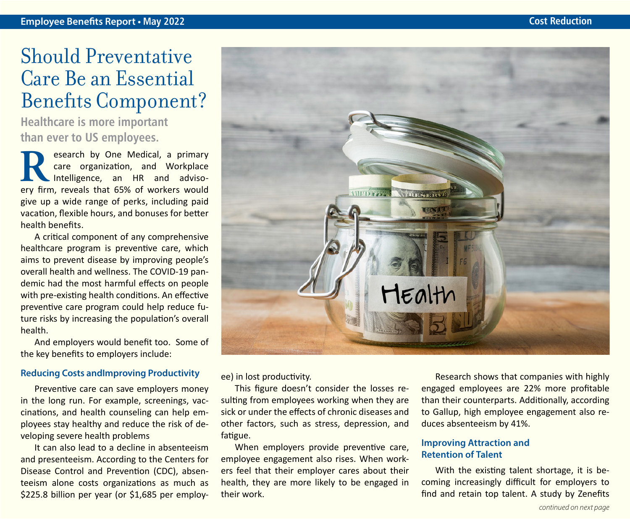### Should Preventative Care Be an Essential Benefits Component?

**Healthcare is more important than ever to US employees.**

**Research by One Medical, a primary<br>
care organization, and Workplace<br>
Intelligence, an HR and adviso-<br>
erv firm reveals that 65% of workers would** care organization, and Workplace Intelligence, an HR and advisoery firm, reveals that 65% of workers would give up a wide range of perks, including paid vacation, flexible hours, and bonuses for better health benefits.

A critical component of any comprehensive healthcare program is preventive care, which aims to prevent disease by improving people's overall health and wellness. The COVID-19 pandemic had the most harmful effects on people with pre-existing health conditions. An effective preventive care program could help reduce future risks by increasing the population's overall health.

And employers would benefit too. Some of the key benefits to employers include:

#### **Reducing Costs andImproving Productivity**

Preventive care can save employers money in the long run. For example, screenings, vaccinations, and health counseling can help employees stay healthy and reduce the risk of developing severe health problems

It can also lead to a decline in absenteeism and presenteeism. According to the Centers for Disease Control and Prevention (CDC), absenteeism alone costs organizations as much as \$225.8 billion per year (or \$1,685 per employ-



ee) in lost productivity.

This figure doesn't consider the losses resulting from employees working when they are sick or under the effects of chronic diseases and other factors, such as stress, depression, and fatigue.

When employers provide preventive care, employee engagement also rises. When workers feel that their employer cares about their health, they are more likely to be engaged in their work.

Research shows that companies with highly engaged employees are 22% more profitable than their counterparts. Additionally, according to Gallup, high employee engagement also reduces absenteeism by 41%.

#### **Improving Attraction and Retention of Talent**

With the existing talent shortage, it is becoming increasingly difficult for employers to find and retain top talent. A study by Zenefits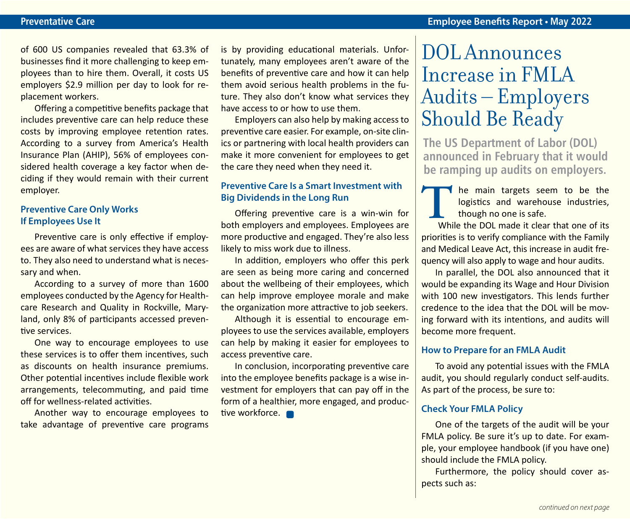of 600 US companies revealed that 63.3% of businesses find it more challenging to keep employees than to hire them. Overall, it costs US employers \$2.9 million per day to look for replacement workers.

Offering a competitive benefits package that includes preventive care can help reduce these costs by improving employee retention rates. According to a survey from America's Health Insurance Plan (AHIP), 56% of employees considered health coverage a key factor when deciding if they would remain with their current employer.

#### **Preventive Care Only Works If Employees Use It**

Preventive care is only effective if employees are aware of what services they have access to. They also need to understand what is necessary and when.

According to a survey of more than 1600 employees conducted by the Agency for Healthcare Research and Quality in Rockville, Maryland, only 8% of participants accessed preventive services.

One way to encourage employees to use these services is to offer them incentives, such as discounts on health insurance premiums. Other potential incentives include flexible work arrangements, telecommuting, and paid time off for wellness-related activities.

Another way to encourage employees to take advantage of preventive care programs is by providing educational materials. Unfortunately, many employees aren't aware of the benefits of preventive care and how it can help them avoid serious health problems in the future. They also don't know what services they have access to or how to use them.

Employers can also help by making access to preventive care easier. For example, on-site clinics or partnering with local health providers can make it more convenient for employees to get the care they need when they need it.

#### **Preventive Care Is a Smart Investment with Big Dividends in the Long Run**

Offering preventive care is a win-win for both employers and employees. Employees are more productive and engaged. They're also less likely to miss work due to illness.

In addition, employers who offer this perk are seen as being more caring and concerned about the wellbeing of their employees, which can help improve employee morale and make the organization more attractive to job seekers.

Although it is essential to encourage employees to use the services available, employers can help by making it easier for employees to access preventive care.

In conclusion, incorporating preventive care into the employee benefits package is a wise investment for employers that can pay off in the form of a healthier, more engaged, and productive workforce.

### DOL Announces Increase in FMLA Audits – Employers Should Be Ready

**The US Department of Labor (DOL) announced in February that it would be ramping up audits on employers.** 

**The main targets seem to be the logistics and warehouse industries, though no one is safe.<br>While the DOL made it clear that one of its** logistics and warehouse industries, though no one is safe.

 While the DOL made it clear that one of its priorities is to verify compliance with the Family and Medical Leave Act, this increase in audit frequency will also apply to wage and hour audits.

In parallel, the DOL also announced that it would be expanding its Wage and Hour Division with 100 new investigators. This lends further credence to the idea that the DOL will be moving forward with its intentions, and audits will become more frequent.

#### **How to Prepare for an FMLA Audit**

To avoid any potential issues with the FMLA audit, you should regularly conduct self-audits. As part of the process, be sure to:

#### **Check Your FMLA Policy**

One of the targets of the audit will be your FMLA policy. Be sure it's up to date. For example, your employee handbook (if you have one) should include the FMLA policy.

Furthermore, the policy should cover aspects such as: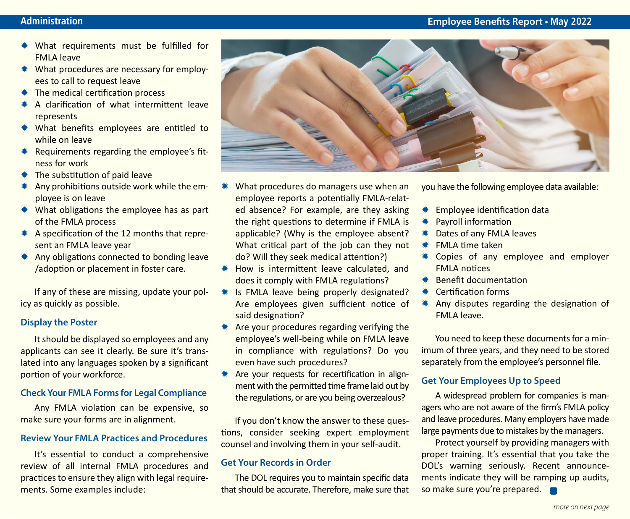- \* What requirements must be fulfilled for FMLA leave
- \* What procedures are necessary for employees to call to request leave
- $*$  The medical certification process
- A clarification of what intermittent leave represents
- \* What benefits employees are entitled to while on leave
- $*$  Requirements regarding the employee's fitness for work
- $*$  The substitution of paid leave
- Any prohibitions outside work while the employee is on leave
- $*$  What obligations the employee has as part of the FMLA process
- $*$  A specification of the 12 months that represent an FMLA leave year
- \* Any obligations connected to bonding leave /adoption or placement in foster care.

If any of these are missing, update your policy as quickly as possible.

#### **Display the Poster**

It should be displayed so employees and any applicants can see it clearly. Be sure it's translated into any languages spoken by a significant portion of your workforce.

#### **Check Your FMLA Forms for Legal Compliance**

Any FMLA violation can be expensive, so make sure your forms are in alignment.

#### **Review Your FMLA Practices and Procedures**

It's essential to conduct a comprehensive review of all internal FMLA procedures and practices to ensure they align with legal requirements. Some examples include:



- What procedures do managers use when an employee reports a potentially FMLA-related absence? For example, are they asking the right questions to determine if FMLA is applicable? (Why is the employee absent? What critical part of the job can they not do? Will they seek medical attention?)
- \* How is intermittent leave calculated, and does it comply with FMLA regulations?
- Is FMLA leave being properly designated? Are employees given sufficient notice of said designation?
- Are your procedures regarding verifying the employee's well-being while on FMLA leave in compliance with regulations? Do you even have such procedures?
- \* Are your requests for recertification in alignment with the permitted time frame laid out by the regulations, or are you being overzealous?

If you don't know the answer to these questions, consider seeking expert employment counsel and involving them in your self-audit.

#### **Get Your Records in Order**

The DOL requires you to maintain specific data that should be accurate. Therefore, make sure that you have the following employee data available:

- **\*** Employee identification data
- **\*** Payroll information
- \* Dates of any FMLA leaves
- FMLA time taken
- \* Copies of any employee and employer FMLA notices
- \* Benefit documentation
- Certification forms
- \* Any disputes regarding the designation of FMLA leave.

You need to keep these documents for a minimum of three years, and they need to be stored separately from the employee's personnel file.

#### **Get Your Employees Up to Speed**

A widespread problem for companies is managers who are not aware of the firm's FMLA policy and leave procedures. Many employers have made large payments due to mistakes by the managers.

Protect yourself by providing managers with proper training. It's essential that you take the DOL's warning seriously. Recent announcements indicate they will be ramping up audits, so make sure you're prepared.